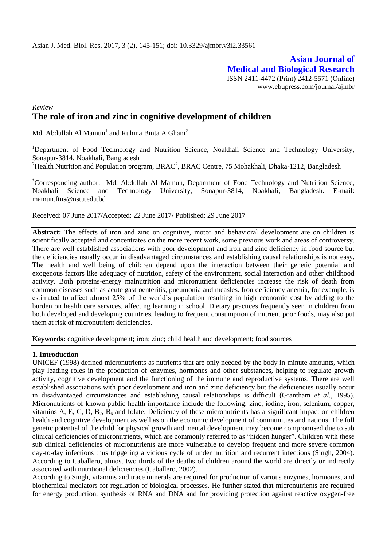**Asian Journal of Medical and Biological Research** ISSN 2411-4472 (Print) 2412-5571 (Online) www.ebupress.com/journal/ajmbr

# *Review* **The role of iron and zinc in cognitive development of children**

Md. Abdullah Al Mamun $^1$  and Ruhina Binta A Ghani<sup>2</sup>

<sup>1</sup>Department of Food Technology and Nutrition Science, Noakhali Science and Technology University, Sonapur-3814, Noakhali, Bangladesh

<sup>2</sup>Health Nutrition and Population program, BRAC<sup>2</sup>, BRAC Centre, 75 Mohakhali, Dhaka-1212, Bangladesh

\*Corresponding author: Md. Abdullah Al Mamun, Department of Food Technology and Nutrition Science, Noakhali Science and Technology University, Sonapur-3814, Noakhali, Bangladesh. E-mail: mamun.ftns@nstu.edu.bd

Received: 07 June 2017/Accepted: 22 June 2017/ Published: 29 June 2017

**Abstract:** The effects of iron and zinc on cognitive, motor and behavioral development are on children is scientifically accepted and concentrates on the more recent work, some previous work and areas of controversy. There are well established associations with poor development and iron and zinc deficiency in food source but the deficiencies usually occur in disadvantaged circumstances and establishing causal relationships is not easy. The health and well being of children depend upon the interaction between their genetic potential and exogenous factors like adequacy of nutrition, safety of the environment, social interaction and other childhood activity. Both proteins-energy malnutrition and micronutrient deficiencies increase the risk of death from common diseases such as acute gastroenteritis, pneumonia and measles. Iron deficiency anemia, for example, is estimated to affect almost 25% of the world's population resulting in high economic cost by adding to the burden on health care services, affecting learning in school. Dietary practices frequently seen in children from both developed and developing countries, leading to frequent consumption of nutrient poor foods, may also put them at risk of micronutrient deficiencies.

**Keywords:** cognitive development; iron; zinc; child health and development; food sources

#### **1. Introduction**

UNICEF (1998) defined micronutrients as nutrients that are only needed by the body in minute amounts, which play leading roles in the production of enzymes, hormones and other substances, helping to regulate growth activity, cognitive development and the functioning of the immune and reproductive systems. There are well established associations with poor development and iron and zinc deficiency but the deficiencies usually occur in disadvantaged circumstances and establishing causal relationships is difficult (Grantham *et al.*, 1995). Micronutrients of known public health importance include the following: zinc, iodine, iron, selenium, copper, vitamins A, E, C, D,  $B_2$ ,  $B_6$  and folate. Deficiency of these micronutrients has a significant impact on children health and cognitive development as well as on the economic development of communities and nations. The full genetic potential of the child for physical growth and mental development may become compromised due to sub clinical deficiencies of micronutrients, which are commonly referred to as "hidden hunger". Children with these sub clinical deficiencies of micronutrients are more vulnerable to develop frequent and more severe common day-to-day infections thus triggering a vicious cycle of under nutrition and recurrent infections (Singh, 2004). According to Caballero, almost two thirds of the deaths of children around the world are directly or indirectly associated with nutritional deficiencies (Caballero, 2002).

According to Singh, vitamins and trace minerals are required for production of various enzymes, hormones, and biochemical mediators for regulation of biological processes. He further stated that micronutrients are required for energy production, synthesis of RNA and DNA and for providing protection against reactive oxygen-free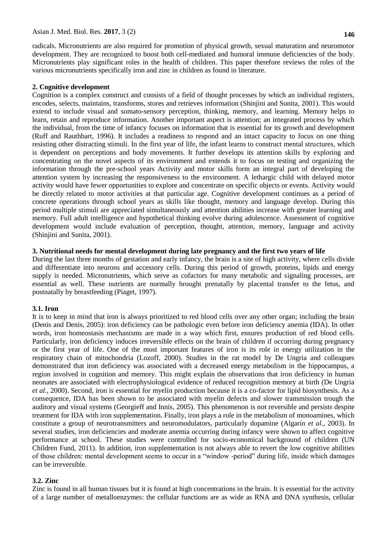radicals. Micronutrients are also required for promotion of physical growth, sexual maturation and neuromotor development. They are recognized to boost both cell-mediated and humoral immune deficiencies of the body. Micronutrients play significant roles in the health of children. This paper therefore reviews the roles of the various micronutrients specifically iron and zinc in children as found in literature.

#### **2. Cognitive development**

Cognition is a complex construct and consists of a field of thought processes by which an individual registers, encodes, selects, maintains, transforms, stores and retrieves information (Shinjini and Sunita, 2001). This would extend to include visual and somato-sensory perception, thinking, memory, and learning. Memory helps to learn, retain and reproduce information. Another important aspect is attention; an integrated process by which the individual, from the time of infancy focuses on information that is essential for its growth and development (Ruff and Rauthbart, 1996). It includes a readiness to respond and an intact capacity to focus on one thing resisting other distracting stimuli. In the first year of life, the infant learns to construct mental structures, which is dependent on perceptions and body movements. It further develops its attention skills by exploring and concentrating on the novel aspects of its environment and extends it to focus on testing and organizing the information through the pre-school years Activity and motor skills form an integral part of developing the attention system by increasing the responsiveness to the environment. A lethargic child with delayed motor activity would have fewer opportunities to explore and concentrate on specific objects or events. Activity would be directly related to motor activities at that particular age. Cognitive development continues as a period of concrete operations through school years as skills like thought, memory and language develop. During this period multiple stimuli are appreciated simultaneously and attention abilities increase with greater learning and memory. Full adult intelligence and hypothetical thinking evolve during adolescence. Assessment of cognitive development would include evaluation of perception, thought, attention, memory, language and activity (Shinjini and Sunita, 2001).

#### **3. Nutritional needs for mental development during late pregnancy and the first two years of life**

During the last three months of gestation and early infancy, the brain is a site of high activity, where cells divide and differentiate into neurons and accessory cells. During this period of growth, proteins, lipids and energy supply is needed. Micronutrients, which serve as cofactors for many metabolic and signaling processes, are essential as well. These nutrients are normally brought prenatally by placental transfer to the fetus, and postnatally by breastfeeding (Piaget, 1997).

#### **3.1. Iron**

It is to keep in mind that iron is always prioritized to red blood cells over any other organ; including the brain (Denis and Denis, 2005): iron deficiency can be pathologic even before iron deficiency anemia (IDA). In other words, iron homeostasis mechanisms are made in a way which first, ensures production of red blood cells. Particularly, iron deficiency induces irreversible effects on the brain of children if occurring during pregnancy or the first year of life. One of the most important features of iron is its role in energy utilization in the respiratory chain of mitochondria (Lozoff, 2000). Studies in the rat model by De Ungria and colleagues demonstrated that iron deficiency was associated with a decreased energy metabolism in the hippocampus, a region involved in cognition and memory. This might explain the observations that iron deficiency in human neonates are associated with electrophysiological evidence of reduced recognition memory at birth (De Ungria *et al.*, 2000). Second, iron is essential for myelin production because it is a co-factor for lipid biosynthesis. As a consequence, IDA has been shown to be associated with myelin defects and slower transmission trough the auditory and visual systems (Georgieff and Innis, 2005). This phenomenon is not reversible and persists despite treatment for IDA with iron supplementation. Finally, iron plays a role in the metabolism of monoamines, which constitute a group of neurotransmitters and neuromodulators, particularly dopamine (Algarín *et al.*, 2003). In several studies, iron deficiencies and moderate anemia occurring during infancy were shown to affect cognitive performance at school. These studies were controlled for socio-economical background of children (UN Children Fund, 2011). In addition, iron supplementation is not always able to revert the low cognitive abilities of those children: mental development seems to occur in a "window -period" during life, inside which damages can be irreversible.

## **3.2. Zinc**

Zinc is found in all human tissues but it is found at high concentrations in the brain. It is essential for the activity of a large number of metalloenzymes: the cellular functions are as wide as RNA and DNA synthesis, cellular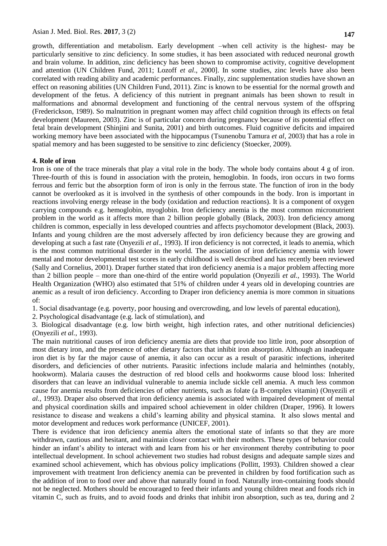growth, differentiation and metabolism. Early development –when cell activity is the highest- may be particularly sensitive to zinc deficiency. In some studies, it has been associated with reduced neuronal growth and brain volume. In addition, zinc deficiency has been shown to compromise activity, cognitive development and attention (UN Children Fund, 2011; Lozoff *et al*., 2000]. In some studies, zinc levels have also been correlated with reading ability and academic performances. Finally, zinc supplementation studies have shown an effect on reasoning abilities (UN Children Fund, 2011). Zinc is known to be essential for the normal growth and development of the fetus. A deficiency of this nutrient in pregnant animals has been shown to result in malformations and abnormal development and functioning of the central nervous system of the offspring (Frederickson, 1989). So malnutrition in pregnant women may affect child cognition through its effects on fetal development (Maureen, 2003). Zinc is of particular concern during pregnancy because of its potential effect on fetal brain development (Shinjini and Sunita, 2001) and birth outcomes. Fluid cognitive deficits and impaired working memory have been associated with the hippocampus (Tsunenobu Tamura *et al*, 2003) that has a role in spatial memory and has been suggested to be sensitive to zinc deficiency (Stoecker, 2009).

### **4. Role of iron**

Iron is one of the trace minerals that play a vital role in the body. The whole body contains about 4 g of iron. Three-fourth of this is found in association with the protein, hemoglobin. In foods, iron occurs in two forms ferrous and ferric but the absorption form of iron is only in the ferrous state. The function of iron in the body cannot be overlooked as it is involved in the synthesis of other compounds in the body. Iron is important in reactions involving energy release in the body (oxidation and reduction reactions). It is a component of oxygen carrying compounds e.g. hemoglobin, myoglobin. Iron deficiency anemia is the most common micronutrient problem in the world as it affects more than 2 billion people globally (Black, 2003). Iron deficiency among children is common, especially in less developed countries and affects psychomotor development (Black, 2003). Infants and young children are the most adversely affected by iron deficiency because they are growing and developing at such a fast rate (Onyezili *et al.*, 1993). If iron deficiency is not corrected, it leads to anemia, which is the most common nutritional disorder in the world. The association of iron deficiency anemia with lower mental and motor developmental test scores in early childhood is well described and has recently been reviewed (Sally and Cornelius, 2001). Draper further stated that iron deficiency anemia is a major problem affecting more than 2 billion people – more than one-third of the entire world population (Onyezili *et al.*, 1993). The World Health Organization (WHO) also estimated that 51% of children under 4 years old in developing countries are anemic as a result of iron deficiency. According to Draper iron deficiency anemia is more common in situations of:

1. Social disadvantage (e.g. poverty, poor housing and overcrowding, and low levels of parental education),

2. Psychological disadvantage (e.g. lack of stimulation), and

3. Biological disadvantage (e.g. low birth weight, high infection rates, and other nutritional deficiencies) (Onyezili *et al.*, 1993).

The main nutritional causes of iron deficiency anemia are diets that provide too little iron, poor absorption of most dietary iron, and the presence of other dietary factors that inhibit iron absorption. Although an inadequate iron diet is by far the major cause of anemia, it also can occur as a result of parasitic infections, inherited disorders, and deficiencies of other nutrients. Parasitic infections include malaria and helminthes (notably, hookworm). Malaria causes the destruction of red blood cells and hookworms cause blood loss: Inherited disorders that can leave an individual vulnerable to anemia include sickle cell anemia. A much less common cause for anemia results from deficiencies of other nutrients, such as folate (a B-complex vitamin) (Onyezili *et al.*, 1993). Draper also observed that iron deficiency anemia is associated with impaired development of mental and physical coordination skills and impaired school achievement in older children (Draper, 1996). It lowers resistance to disease and weakens a child's learning ability and physical stamina. It also slows mental and motor development and reduces work performance (UNICEF, 2001).

There is evidence that iron deficiency anemia alters the emotional state of infants so that they are more withdrawn, cautious and hesitant, and maintain closer contact with their mothers. These types of behavior could hinder an infant's ability to interact with and learn from his or her environment thereby contributing to poor intellectual development. In school achievement two studies had robust designs and adequate sample sizes and examined school achievement, which has obvious policy implications (Pollitt, 1993). Children showed a clear improvement with treatment Iron deficiency anemia can be prevented in children by food fortification such as the addition of iron to food over and above that naturally found in food. Naturally iron-containing foods should not be neglected. Mothers should be encouraged to feed their infants and young children meat and foods rich in vitamin C, such as fruits, and to avoid foods and drinks that inhibit iron absorption, such as tea, during and 2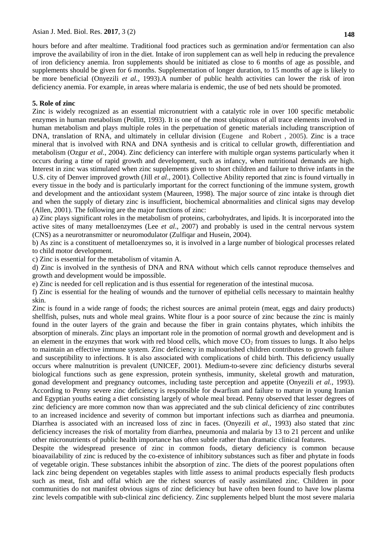hours before and after mealtime. Traditional food practices such as germination and/or fermentation can also improve the availability of iron in the diet. Intake of iron supplement can as well help in reducing the prevalence of iron deficiency anemia. Iron supplements should be initiated as close to 6 months of age as possible, and supplements should be given for 6 months. Supplementation of longer duration, to 15 months of age is likely to be more beneficial (Onyezili *et al.*, 1993).A number of public health activities can lower the risk of iron deficiency anemia. For example, in areas where malaria is endemic, the use of bed nets should be promoted.

# **5. Role of zinc**

Zinc is widely recognized as an essential micronutrient with a catalytic role in over 100 specific metabolic enzymes in human metabolism (Pollitt, 1993). It is one of the most ubiquitous of all trace elements involved in human metabolism and plays multiple roles in the perpetuation of genetic materials including transcription of DNA, translation of RNA, and ultimately in cellular division (Eugene and Robert , 2005). Zinc is a trace mineral that is involved with RNA and DNA synthesis and is critical to cellular growth, differentiation and metabolism (Ozgur *et al.*, 2004). Zinc deficiency can interfere with multiple organ systems particularly when it occurs during a time of rapid growth and development, such as infancy, when nutritional demands are high. Interest in zinc was stimulated when zinc supplements given to short children and failure to thrive infants in the U.S. city of Denver improved growth (Jill *et al*., 2001). Collective Ability reported that zinc is found virtually in every tissue in the body and is particularly important for the correct functioning of the immune system, growth and development and the antioxidant system (Maureen, 1998). The major source of zinc intake is through diet and when the supply of dietary zinc is insufficient, biochemical abnormalities and clinical signs may develop (Allen, 2001). The following are the major functions of zinc:

a) Zinc plays significant roles in the metabolism of proteins, carbohydrates, and lipids. It is incorporated into the active sites of many metalloenzymes (Lee *et al*., 2007) and probably is used in the central nervous system (CNS) as a neurotransmitter or neuromodulator (Zulfiqar and Husein, 2004).

b) As zinc is a constituent of metalloenzymes so, it is involved in a large number of biological processes related to child motor development.

c) Zinc is essential for the metabolism of vitamin A.

d) Zinc is involved in the synthesis of DNA and RNA without which cells cannot reproduce themselves and growth and development would be impossible.

e) Zinc is needed for cell replication and is thus essential for regeneration of the intestinal mucosa.

f) Zinc is essential for the healing of wounds and the turnover of epithelial cells necessary to maintain healthy skin.

Zinc is found in a wide range of foods; the richest sources are animal protein (meat, eggs and dairy products) shellfish, pulses, nuts and whole meal grains. White flour is a poor source of zinc because the zinc is mainly found in the outer layers of the grain and because the fiber in grain contains phytates, which inhibits the absorption of minerals. Zinc plays an important role in the promotion of normal growth and development and is an element in the enzymes that work with red blood cells, which move  $CO<sub>2</sub>$  from tissues to lungs. It also helps to maintain an effective immune system. Zinc deficiency in malnourished children contributes to growth failure and susceptibility to infections. It is also associated with complications of child birth. This deficiency usually occurs where malnutrition is prevalent (UNICEF, 2001). Medium-to-severe zinc deficiency disturbs several biological functions such as gene expression, protein synthesis, immunity, skeletal growth and maturation, gonad development and pregnancy outcomes, including taste perception and appetite (Onyezili *et al.*, 1993). According to Penny severe zinc deficiency is responsible for dwarfism and failure to mature in young Iranian and Egyptian youths eating a diet consisting largely of whole meal bread. Penny observed that lesser degrees of zinc deficiency are more common now than was appreciated and the sub clinical deficiency of zinc contributes to an increased incidence and severity of common but important infections such as diarrhea and pneumonia. Diarrhea is associated with an increased loss of zinc in faces. (Onyezili *et al.*, 1993) also stated that zinc deficiency increases the risk of mortality from diarrhea, pneumonia and malaria by 13 to 21 percent and unlike other micronutrients of public health importance has often subtle rather than dramatic clinical features.

Despite the widespread presence of zinc in common foods, dietary deficiency is common because bioavailability of zinc is reduced by the co-existence of inhibitory substances such as fiber and phytate in foods of vegetable origin. These substances inhibit the absorption of zinc. The diets of the poorest populations often lack zinc being dependent on vegetables staples with little assess to animal products especially flesh products such as meat, fish and offal which are the richest sources of easily assimilated zinc. Children in poor communities do not manifest obvious signs of zinc deficiency but have often been found to have low plasma zinc levels compatible with sub-clinical zinc deficiency. Zinc supplements helped blunt the most severe malaria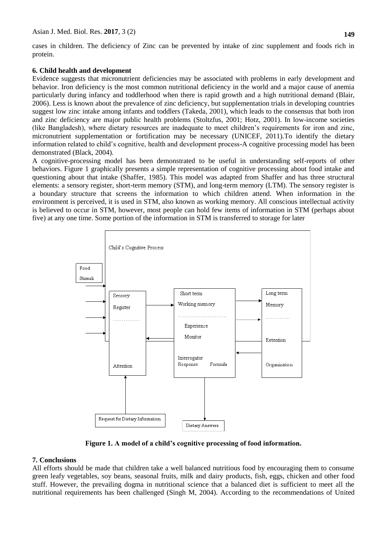cases in children. The deficiency of Zinc can be prevented by intake of zinc supplement and foods rich in protein.

## **6. Child health and development**

Evidence suggests that micronutrient deficiencies may be associated with problems in early development and behavior. Iron deficiency is the most common nutritional deficiency in the world and a major cause of anemia particularly during infancy and toddlerhood when there is rapid growth and a high nutritional demand (Blair, 2006). Less is known about the prevalence of zinc deficiency, but supplementation trials in developing countries suggest low zinc intake among infants and toddlers (Takeda, 2001), which leads to the consensus that both iron and zinc deficiency are major public health problems (Stoltzfus, 2001; Hotz, 2001). In low-income societies (like Bangladesh), where dietary resources are inadequate to meet children's requirements for iron and zinc, micronutrient supplementation or fortification may be necessary (UNICEF, 2011).To identify the dietary information related to child's cognitive, health and development process-A cognitive processing model has been demonstrated (Black, 2004).

A cognitive-processing model has been demonstrated to be useful in understanding self-reports of other behaviors. Figure 1 graphically presents a simple representation of cognitive processing about food intake and questioning about that intake (Shaffer, 1985). This model was adapted from Shaffer and has three structural elements: a sensory register, short-term memory (STM), and long-term memory (LTM). The sensory register is a boundary structure that screens the information to which children attend. When information in the environment is perceived, it is used in STM, also known as working memory. All conscious intellectual activity is believed to occur in STM, however, most people can hold few items of information in STM (perhaps about five) at any one time. Some portion of the information in STM is transferred to storage for later



**Figure 1. A model of a child's cognitive processing of food information.**

## **7. Conclusions**

All efforts should be made that children take a well balanced nutritious food by encouraging them to consume green leafy vegetables, soy beans, seasonal fruits, milk and dairy products, fish, eggs, chicken and other food stuff. However, the prevailing dogma in nutritional science that a balanced diet is sufficient to meet all the nutritional requirements has been challenged (Singh M, 2004). According to the recommendations of United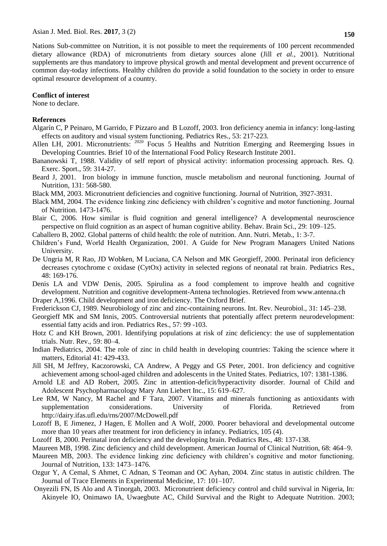Nations Sub-committee on Nutrition, it is not possible to meet the requirements of 100 percent recommended dietary allowance (RDA) of micronutrients from dietary sources alone (Jill *et al.,* 2001). Nutritional supplements are thus mandatory to improve physical growth and mental development and prevent occurrence of common day-today infections. Healthy children do provide a solid foundation to the society in order to ensure optimal resource development of a country.

## **Conflict of interest**

None to declare.

### **References**

- Algarín C, P Peinaro, M Garrido, F Pizzaro and B Lozoff, 2003. Iron deficiency anemia in infancy: long-lasting effects on auditory and visual system functioning. Pediatrics Res., 53: 217-223.
- Allen LH, 2001. Micronutrients: <sup>2020</sup> Focus 5 Healths and Nutrition Emerging and Reemerging Issues in Developing Countries. Brief 10 of the International Food Policy Research Institute 2001.
- Bananowski T, 1988. Validity of self report of physical activity: information processing approach. Res. Q. Exerc. Sport., 59: 314-27.
- Beard J, 2001. Iron biology in immune function, muscle metabolism and neuronal functioning*.* Journal of Nutrition, 131: 568-580.
- Black MM, 2003. Micronutrient deficiencies and cognitive functioning. Journal of Nutrition, 3927-3931.
- Black MM, 2004. The evidence linking zinc deficiency with children's cognitive and motor functioning. Journal of Nutrition. 1473-1476.
- Blair C, 2006. How similar is fluid cognition and general intelligence? A developmental neuroscience perspective on fluid cognition as an aspect of human cognitive ability. Behav. Brain Sci., 29: 109–125.
- Caballero B, 2002. Global patterns of child health: the role of nutrition. Ann. Nutri. Metab., 1: 3-7.
- Children's Fund, World Health Organization, 2001. A Guide for New Program Managers United Nations University.
- De Ungria M, R Rao, JD Wobken, M Luciana, CA Nelson and MK Georgieff, 2000. Perinatal iron deficiency decreases cytochrome c oxidase (CytOx) activity in selected regions of neonatal rat brain. Pediatrics Res., 48: 169-176.
- Denis LA and VDW Denis, 2005. Spirulina as a food complement to improve health and cognitive development. Nutrition and cognitive development-Antena technologies. Retrieved from [www.antenna.ch](http://www.antenna.ch/)
- Draper A,1996. Child development and iron deficiency. The Oxford Brief.
- Frederickson CJ, 1989. Neurobiology of zinc and zinc-containing neurons. Int. Rev. Neurobiol., 31: 145–238.
- Georgieff MK and SM Innis, 2005. Controversial nutrients that potentially affect preterm neurodevelopment: essential fatty acids and iron. Pediatrics Res., 57: 99 -103.
- Hotz C and KH Brown, 2001. Identifying populations at risk of zinc deficiency: the use of supplementation trials. Nutr. Rev., 59: 80–4.
- Indian Pediatrics, 2004. The role of zinc in child health in developing countries: Taking the science where it matters, Editorial 41: 429-433.
- Jill SH, M Jeffrey, Kaczorowski, CA Andrew, A Peggy and GS Peter, 2001. Iron deficiency and cognitive achievement among school-aged children and adolescents in the United States. Pediatrics, 107: 1381-1386.
- Arnold LE and AD Robert, 2005. Zinc in attention-deficit/hyperactivity disorder. Journal of Child and Adolescent Psychopharmacology Mary Ann Liebert Inc., 15: 619–627.
- Lee RM, W Nancy, M Rachel and F Tara, 2007. Vitamins and minerals functioning as antioxidants with supplementation considerations. University of Florida. Retrieved from <http://dairy.ifas.ufl.edu/rns/2007/McDowell.pdf>
- Lozoff B, E Jimenez, J Hagen, E Mollen and A Wolf, 2000. Poorer behavioral and developmental outcome more than 10 years after treatment for iron deficiency in infancy*.* Pediatrics, 105 (4).
- Lozoff B, 2000. Perinatal iron deficiency and the developing brain. Pediatrics Res., 48: 137-138.
- Maureen MB, 1998. Zinc deficiency and child development. American Journal of Clinical Nutrition, 68: 464–9.
- Maureen MB, 2003. The evidence linking zinc deficiency with children's cognitive and motor functioning. Journal of Nutrition, 133: 1473–1476.
- Ozgur Y, A Cemal, S Ahmet, C Adnan, S Teoman and OC Ayhan, 2004. Zinc status in autistic children. The Journal of Trace Elements in Experimental Medicine, 17: 101–107.
- Onyezili FN, IS Alo and A Tinorgah, 2003. Micronutrient deficiency control and child survival in Nigeria, In: Akinyele IO, Onimawo IA, Uwaegbute AC, Child Survival and the Right to Adequate Nutrition. 2003;